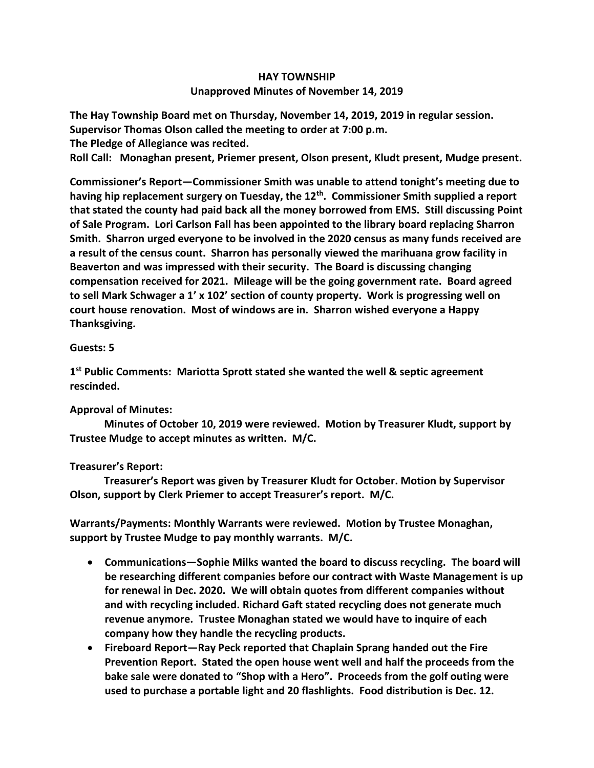## **HAY TOWNSHIP Unapproved Minutes of November 14, 2019**

**The Hay Township Board met on Thursday, November 14, 2019, 2019 in regular session. Supervisor Thomas Olson called the meeting to order at 7:00 p.m.** 

**The Pledge of Allegiance was recited.** 

**Roll Call: Monaghan present, Priemer present, Olson present, Kludt present, Mudge present.**

**Commissioner's Report—Commissioner Smith was unable to attend tonight's meeting due to having hip replacement surgery on Tuesday, the 12th . Commissioner Smith supplied a report that stated the county had paid back all the money borrowed from EMS. Still discussing Point of Sale Program. Lori Carlson Fall has been appointed to the library board replacing Sharron Smith. Sharron urged everyone to be involved in the 2020 census as many funds received are a result of the census count. Sharron has personally viewed the marihuana grow facility in Beaverton and was impressed with their security. The Board is discussing changing compensation received for 2021. Mileage will be the going government rate. Board agreed to sell Mark Schwager a 1' x 102' section of county property. Work is progressing well on court house renovation. Most of windows are in. Sharron wished everyone a Happy Thanksgiving.**

## **Guests: 5**

**1 st Public Comments: Mariotta Sprott stated she wanted the well & septic agreement rescinded.**

## **Approval of Minutes:**

 **Minutes of October 10, 2019 were reviewed. Motion by Treasurer Kludt, support by Trustee Mudge to accept minutes as written. M/C.**

## **Treasurer's Report:**

 **Treasurer's Report was given by Treasurer Kludt for October. Motion by Supervisor Olson, support by Clerk Priemer to accept Treasurer's report. M/C.**

**Warrants/Payments: Monthly Warrants were reviewed. Motion by Trustee Monaghan, support by Trustee Mudge to pay monthly warrants. M/C.**

- **Communications—Sophie Milks wanted the board to discuss recycling. The board will be researching different companies before our contract with Waste Management is up for renewal in Dec. 2020. We will obtain quotes from different companies without and with recycling included. Richard Gaft stated recycling does not generate much revenue anymore. Trustee Monaghan stated we would have to inquire of each company how they handle the recycling products.**
- **Fireboard Report—Ray Peck reported that Chaplain Sprang handed out the Fire Prevention Report. Stated the open house went well and half the proceeds from the bake sale were donated to "Shop with a Hero". Proceeds from the golf outing were used to purchase a portable light and 20 flashlights. Food distribution is Dec. 12.**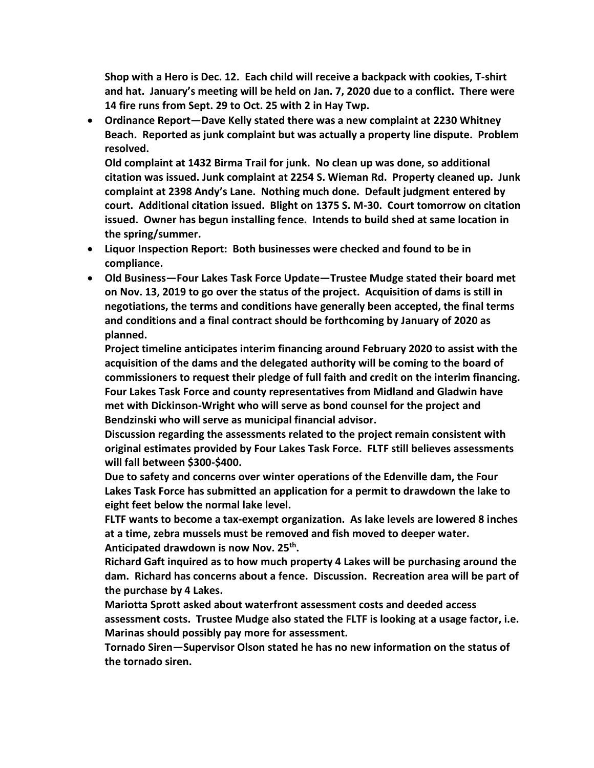**Shop with a Hero is Dec. 12. Each child will receive a backpack with cookies, T-shirt and hat. January's meeting will be held on Jan. 7, 2020 due to a conflict. There were 14 fire runs from Sept. 29 to Oct. 25 with 2 in Hay Twp.**

• **Ordinance Report—Dave Kelly stated there was a new complaint at 2230 Whitney Beach. Reported as junk complaint but was actually a property line dispute. Problem resolved.** 

**Old complaint at 1432 Birma Trail for junk. No clean up was done, so additional citation was issued. Junk complaint at 2254 S. Wieman Rd. Property cleaned up. Junk complaint at 2398 Andy's Lane. Nothing much done. Default judgment entered by court. Additional citation issued. Blight on 1375 S. M-30. Court tomorrow on citation issued. Owner has begun installing fence. Intends to build shed at same location in the spring/summer.** 

- **Liquor Inspection Report: Both businesses were checked and found to be in compliance.**
- **Old Business—Four Lakes Task Force Update—Trustee Mudge stated their board met on Nov. 13, 2019 to go over the status of the project. Acquisition of dams is still in negotiations, the terms and conditions have generally been accepted, the final terms and conditions and a final contract should be forthcoming by January of 2020 as planned.**

**Project timeline anticipates interim financing around February 2020 to assist with the acquisition of the dams and the delegated authority will be coming to the board of commissioners to request their pledge of full faith and credit on the interim financing. Four Lakes Task Force and county representatives from Midland and Gladwin have met with Dickinson-Wright who will serve as bond counsel for the project and Bendzinski who will serve as municipal financial advisor.**

**Discussion regarding the assessments related to the project remain consistent with original estimates provided by Four Lakes Task Force. FLTF still believes assessments will fall between \$300-\$400.**

**Due to safety and concerns over winter operations of the Edenville dam, the Four Lakes Task Force has submitted an application for a permit to drawdown the lake to eight feet below the normal lake level.**

**FLTF wants to become a tax-exempt organization. As lake levels are lowered 8 inches at a time, zebra mussels must be removed and fish moved to deeper water. Anticipated drawdown is now Nov. 25th .** 

**Richard Gaft inquired as to how much property 4 Lakes will be purchasing around the dam. Richard has concerns about a fence. Discussion. Recreation area will be part of the purchase by 4 Lakes.** 

**Mariotta Sprott asked about waterfront assessment costs and deeded access assessment costs. Trustee Mudge also stated the FLTF is looking at a usage factor, i.e. Marinas should possibly pay more for assessment.**

**Tornado Siren—Supervisor Olson stated he has no new information on the status of the tornado siren.**